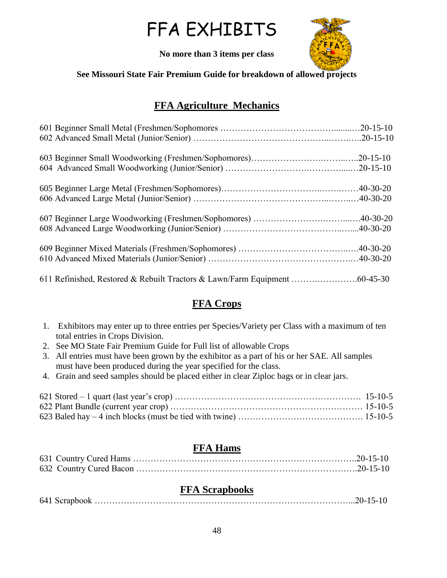# FFA EXHIBITS



**No more than 3 items per class**

#### **See Missouri State Fair Premium Guide for breakdown of allowed projects**

# **FFA Agriculture Mechanics**

# **FFA Crops**

- 1. Exhibitors may enter up to three entries per Species/Variety per Class with a maximum of ten total entries in Crops Division.
- 2. See MO State Fair Premium Guide for Full list of allowable Crops
- 3. All entries must have been grown by the exhibitor as a part of his or her SAE. All samples must have been produced during the year specified for the class.
- 4. Grain and seed samples should be placed either in clear Ziploc bags or in clear jars.

#### **FFA Hams**

## **FFA Scrapbooks**

|--|--|--|--|